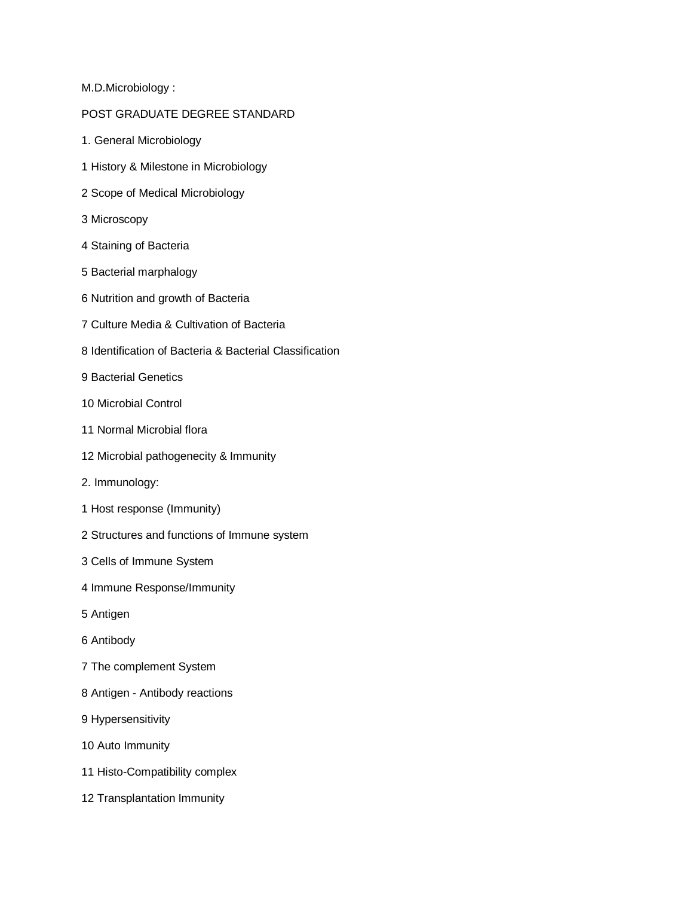M.D.Microbiology :

## POST GRADUATE DEGREE STANDARD

- 1. General Microbiology
- 1 History & Milestone in Microbiology
- 2 Scope of Medical Microbiology
- 3 Microscopy
- 4 Staining of Bacteria
- 5 Bacterial marphalogy
- 6 Nutrition and growth of Bacteria
- 7 Culture Media & Cultivation of Bacteria
- 8 Identification of Bacteria & Bacterial Classification
- 9 Bacterial Genetics
- 10 Microbial Control
- 11 Normal Microbial flora
- 12 Microbial pathogenecity & Immunity
- 2. Immunology:
- 1 Host response (Immunity)
- 2 Structures and functions of Immune system
- 3 Cells of Immune System
- 4 Immune Response/Immunity
- 5 Antigen
- 6 Antibody
- 7 The complement System
- 8 Antigen Antibody reactions
- 9 Hypersensitivity
- 10 Auto Immunity
- 11 Histo-Compatibility complex
- 12 Transplantation Immunity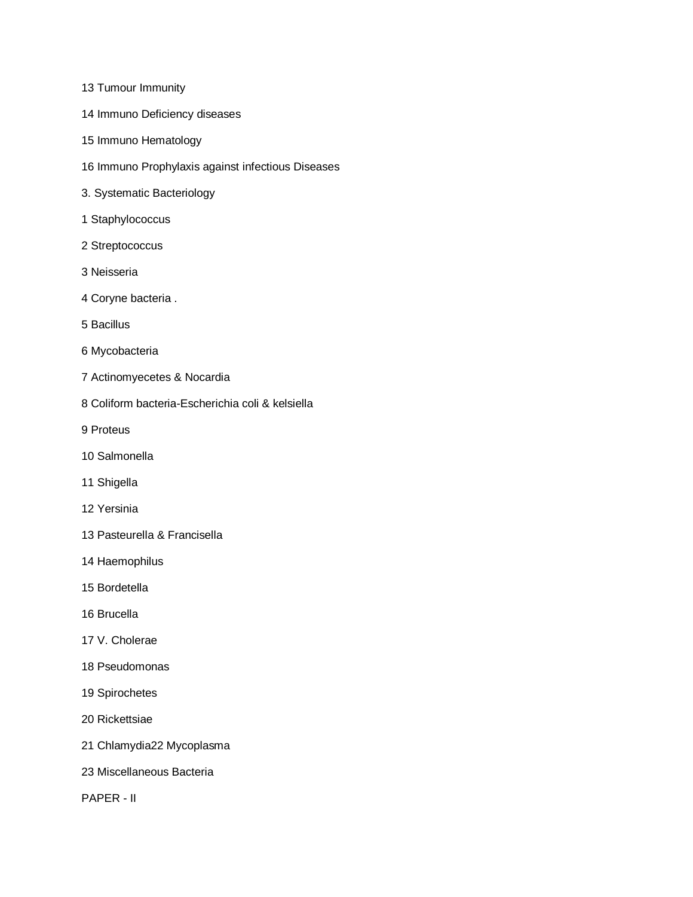- 13 Tumour Immunity
- 14 Immuno Deficiency diseases
- 15 Immuno Hematology
- 16 Immuno Prophylaxis against infectious Diseases
- 3. Systematic Bacteriology
- 1 Staphylococcus
- 2 Streptococcus
- 3 Neisseria
- 4 Coryne bacteria .
- 5 Bacillus
- 6 Mycobacteria
- 7 Actinomyecetes & Nocardia
- 8 Coliform bacteria-Escherichia coli & kelsiella
- 9 Proteus
- 10 Salmonella
- 11 Shigella
- 12 Yersinia
- 13 Pasteurella & Francisella
- 14 Haemophilus
- 15 Bordetella
- 16 Brucella
- 17 V. Cholerae
- 18 Pseudomonas
- 19 Spirochetes
- 20 Rickettsiae
- 21 Chlamydia22 Mycoplasma
- 23 Miscellaneous Bacteria
- PAPER II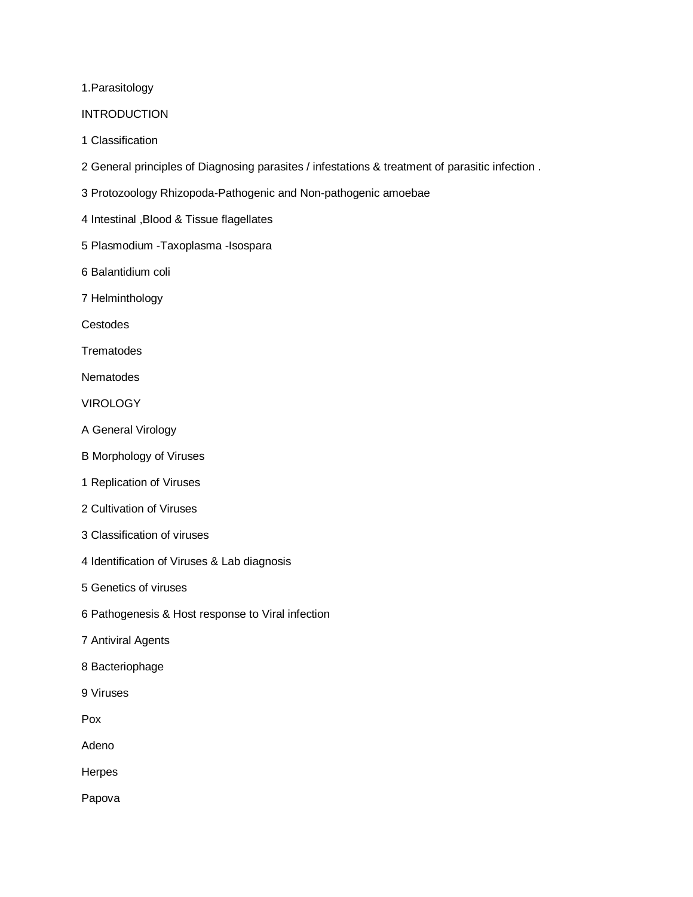1.Parasitology

## **INTRODUCTION**

- 1 Classification
- 2 General principles of Diagnosing parasites / infestations & treatment of parasitic infection .
- 3 Protozoology Rhizopoda-Pathogenic and Non-pathogenic amoebae
- 4 Intestinal ,Blood & Tissue flagellates
- 5 Plasmodium -Taxoplasma -Isospara
- 6 Balantidium coli
- 7 Helminthology

Cestodes

**Trematodes** 

**Nematodes** 

VIROLOGY

- A General Virology
- B Morphology of Viruses
- 1 Replication of Viruses
- 2 Cultivation of Viruses
- 3 Classification of viruses
- 4 Identification of Viruses & Lab diagnosis
- 5 Genetics of viruses
- 6 Pathogenesis & Host response to Viral infection
- 7 Antiviral Agents
- 8 Bacteriophage
- 9 Viruses

Pox

Adeno

Herpes

Papova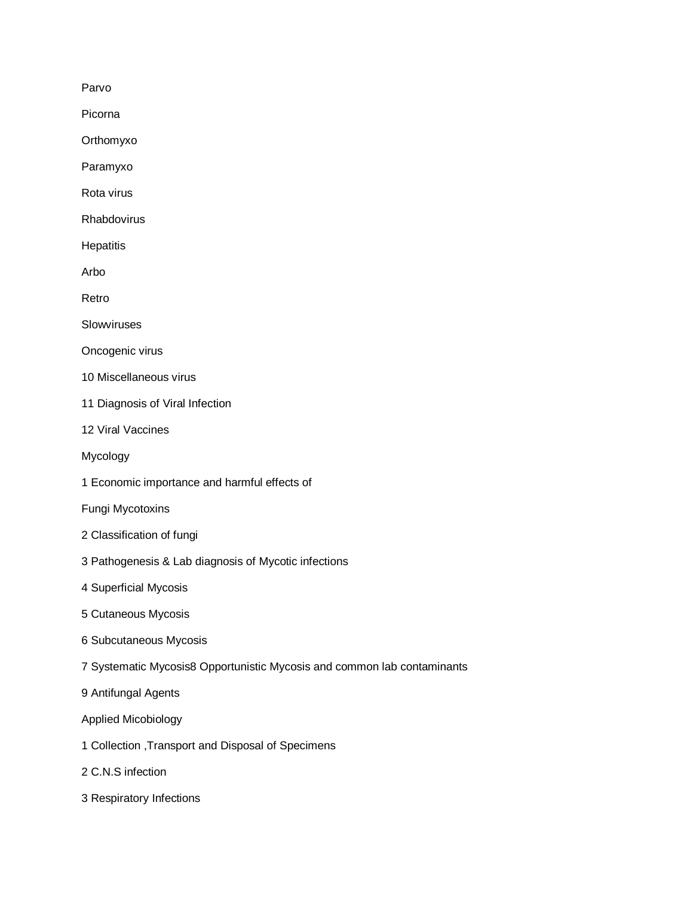Parvo

Picorna

Orthomyxo

Paramyxo

Rota virus

Rhabdovirus

**Hepatitis** 

Arbo

Retro

Slowviruses

Oncogenic virus

- 10 Miscellaneous virus
- 11 Diagnosis of Viral Infection
- 12 Viral Vaccines

Mycology

1 Economic importance and harmful effects of

Fungi Mycotoxins

- 2 Classification of fungi
- 3 Pathogenesis & Lab diagnosis of Mycotic infections
- 4 Superficial Mycosis
- 5 Cutaneous Mycosis
- 6 Subcutaneous Mycosis
- 7 Systematic Mycosis8 Opportunistic Mycosis and common lab contaminants

9 Antifungal Agents

Applied Micobiology

- 1 Collection ,Transport and Disposal of Specimens
- 2 C.N.S infection
- 3 Respiratory Infections